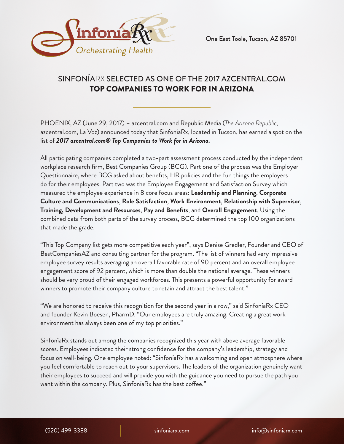

# SINFONÍARX SELECTED AS ONE OF THE 2017 AZCENTRAL.COM TOP COMPANIES TO WORK FOR IN ARIZONA

PHOENIX, AZ (June 29, 2017) – azcentral.com and Republic Media (*The Arizona Republic,* azcentral.com, La Voz) announced today that SinfoníaRx, located in Tucson, has earned a spot on the list of *2017 azcentral.com® Top Companies to Work for in Arizona.*

All participating companies completed a two-part assessment process conducted by the independent workplace research firm, Best Companies Group (BCG). Part one of the process was the Employer Questionnaire, where BCG asked about benefits, HR policies and the fun things the employers do for their employees. Part two was the Employee Engagement and Satisfaction Survey which measured the employee experience in 8 core focus areas: **Leadership and Planning**, **Corporate Culture and Communications**, **Role Satisfaction**, **Work Environment**, **Relationship with Supervisor**, **Training, Development and Resources**, **Pay and Benefits**, and **Overall Engagement**. Using the combined data from both parts of the survey process, BCG determined the top 100 organizations that made the grade.

"This Top Company list gets more competitive each year", says Denise Gredler, Founder and CEO of BestCompaniesAZ and consulting partner for the program. "The list of winners had very impressive employee survey results averaging an overall favorable rate of 90 percent and an overall employee engagement score of 92 percent, which is more than double the national average. These winners should be very proud of their engaged workforces. This presents a powerful opportunity for awardwinners to promote their company culture to retain and attract the best talent."

"We are honored to receive this recognition for the second year in a row," said SinfoníaRx CEO and founder Kevin Boesen, PharmD. "Our employees are truly amazing. Creating a great work environment has always been one of my top priorities."

SinfoníaRx stands out among the companies recognized this year with above average favorable scores. Employees indicated their strong confidence for the company's leadership, strategy and focus on well-being. One employee noted: "SinfoníaRx has a welcoming and open atmosphere where you feel comfortable to reach out to your supervisors. The leaders of the organization genuinely want their employees to succeed and will provide you with the guidance you need to pursue the path you want within the company. Plus, SinfoníaRx has the best coffee."